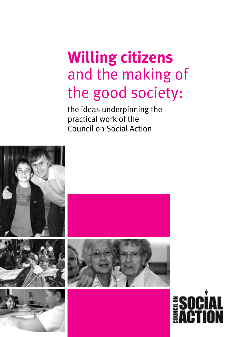# **Willing citizens**  and the making of the good society:

the ideas underpinning the practical work of the Council on Social Action

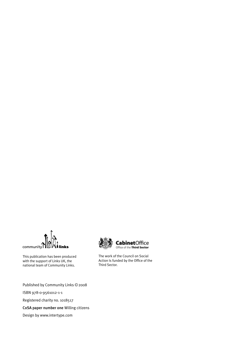community I'll! inks

This publication has been produced with the support of Links UK, the national team of Community Links.



The work of the Council on Social Action Is funded by the Office of the Third Sector.

Published by Community Links ©2008

ISBN 978-0-9561012-1-1

Registered charity no. 1018517

CoSA paper number one Willing citizens

Design by www.intertype.com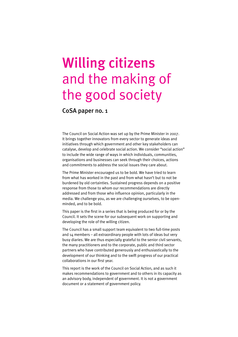## Willing citizens and the making of the good society

CoSA paper no. 1

The Council on Social Action was set up by the Prime Minister in 2007. It brings together innovators from every sector to generate ideas and initiatives through which government and other key stakeholders can catalyse, develop and celebrate social action. We consider "social action" to include the wide range of ways in which individuals, communities, organisations and businesses can seek through their choices, actions and commitments to address the social issues they care about.

The Prime Minister encouraged us to be bold. We have tried to learn from what has worked in the past and from what hasn't but to not be burdened by old certainties. Sustained progress depends on a positive response from those to whom our recommendations are directly addressed and from those who influence opinion, particularly in the media. We challenge you, as we are challenging ourselves, to be openminded, and to be bold.

This paper is the first in a series that is being produced for or by the Council. It sets the scene for our subsequent work on supporting and developing the role of the willing citizen.

The Council has a small support team equivalent to two full-time posts and  $14$  members – all extraordinary people with lots of ideas but very busy diaries. We are thus especially grateful to the senior civil servants, the many practitioners and to the corporate, public and third sector partners who have contributed generously and enthusiastically to the development of our thinking and to the swift progress of our practical collaborations in our first year.

This report is the work of the Council on Social Action, and as such it makes recommendations to government and to others in its capacity as an advisory body, independent of government. It is not a government document or a statement of government policy.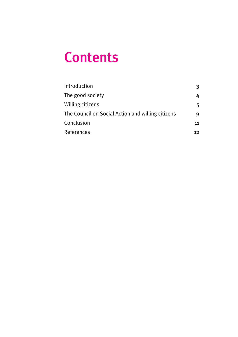## Contents

| Introduction                                      | 3  |
|---------------------------------------------------|----|
| The good society                                  | 4  |
| Willing citizens                                  | 5. |
| The Council on Social Action and willing citizens |    |
| Conclusion                                        | 11 |
| References                                        | 12 |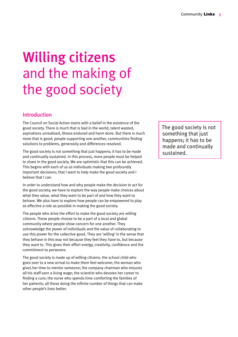## Willing citizens and the making of the good society

## Introduction

The Council on Social Action starts with a belief in the existence of the good society. There is much that is bad in the world; talent wasted, aspirations unrealised, illness endured and harm done. But there is much more that is good; people supporting one another, communities finding solutions to problems, generosity and differences resolved.

The good society is not something that just happens; it has to be made and continually sustained. In this process, more people must be helped to share in the good society. We are optimistic that this can be achieved. This begins with each of us as individuals making two profoundly important decisions; that I want to help make the good society and I believe that I can.

In order to understand how and why people make the decision to act for the good society, we have to explore the way people make choices about what they value, what they want to be part of and how they want to behave. We also have to explore how people can be empowered to play as effective a role as possible in making the good society.

The people who drive the effort to make the good society are willing citizens. These people choose to be a part of a local and global community where people show concern for one another. They acknowledge the power of individuals and the value of collaborating to use this power for the collective good. They are 'willing' in the sense that they behave in this way not because they feel they have to, but because they want to. This gives their effort energy, creativity, confidence and the commitment to persevere.

The good society is made up of willing citizens: the school child who goes over to a new arrival to make them feel welcome; the woman who gives her time to mentor someone; the company chairman who ensures all his staff earn a living wage; the scientist who devotes her career to finding a cure; the nurse who spends time comforting the families of her patients; all those doing the infinite number of things that can make other people's lives better.

The good society is not something that just happens; it has to be made and continually sustained.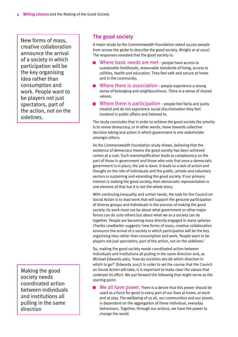New forms of mass, creative collaboration announce the arrival of a society in which participation will be the key organising idea rather than consumption and work. People want to be players not just spectators, part of the action, not on the sidelines.

Making the good society needs coordinated action between individuals and institutions all pulling in the same direction

## The good society

A major study by the Commonwealth Foundation asked 10,000 people from across the globe to describe the good society. (Knight et al 2002) The responses revealed that the good society is:

- Where basic needs are met people have access to sustainable livelihoods, reasonable standards of living, access to utilities, health and education. They feel safe and secure at home and in the community;
- $\blacksquare$  Where there is association people experience a strong sense of belonging and neighbourliness. There is a sense of shared values;
- $\blacksquare$  Where there is participation people feel fairly and justly treated and do not experience social discrimination they feel involved in public affairs and listened to.

The study concludes that in order to achieve the good society the priority is to revive democracy, or in other words, move towards collective decision taking and action in which government is one stakeholder amongst others.

As the Commonwealth Foundation study shows, believing that the existence of democracy means the good society has been achieved comes at a cost. Such oversimplification leads to complacency on the part of those in government and those who vote that once a democratic government is in place, the job is done. It leads to a lack of action and thought on the role of individuals and the public, private and voluntary sectors in sustaining and extending the good society. If our primary interest is making the good society, then democratic representation is one element of that but it is not the whole story.

With continuing inequality and unmet needs, the task for the Council on Social Action is to lead work that will support the genuine participation of diverse groups and individuals in the process of making the good society. Its work must not be about what government or other major forces can do unto others but about what we as a society can do together. People are becoming more directly engaged in many spheres Charles Leadbetter suggests 'new forms of mass, creative collaboration announce the arrival of a society in which participation will be the key organising idea rather than consumption and work. People want to be players not just spectators, part of the action, not on the sidelines.'

So, making the good society needs coordinated action between individuals and institutions all pulling in the same direction and, as Michael Edwards asks, 'how do societies decide which direction in which to go?' (Edwards 2007) In order to set the course that the Council on Social Action will take, it is important to make clear the values that underpin its effort. We put forward the following that might serve as the starting point:

We all have power. There is a desire that this power should be used as a force for good in every part of our lives at home, at work and at play. The wellbeing of us all, our communities and our planet, is dependent on the aggregation of these individual, everyday behaviours. Together, through our actions, we have the power to change the world.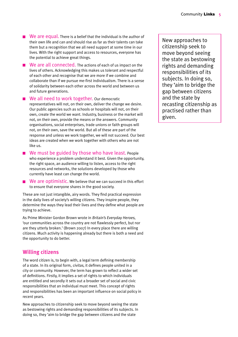- $\blacksquare$  We are equal. There is a belief that the individual is the author of their own life and can and should rise as far as their talents can take them but a recognition that we all need support at some time in our lives. With the right support and access to resources, everyone has the potential to achieve great things.
- $\blacksquare$  We are all connected. The actions of each of us impact on the lives of others. Acknowledging this makes us tolerant and respectful of each other and recognise that we are more if we combine and collaborate than if we pursue me-first individualism. There is a sense of solidarity between each other across the world and between us and future generations.

We all need to work together. Our democratic representatives will not, on their own, deliver the change we desire. Our public agencies such as schools or hospitals will not, on their own, create the world we want. Industry, business or the market will not, on their own, provide the means or the answers. Community organisations, social enterprises, trade unions or faith groups will not, on their own, save the world. But all of these are part of the response and unless we work together, we will not succeed. Our best ideas are created when we work together with others who are not like us.

■ We must be guided by those who have least. People who experience a problem understand it best. Given the opportunity, the right space, an audience willing to listen, access to the right resources and networks, the solutions developed by those who currently have least can change the world.

 $\blacksquare$  We are optimistic. We believe that we can succeed in this effort to ensure that everyone shares in the good society.

These are not just intangible, airy words. They find practical expression in the daily lives of society's willing citizens. They inspire people, they determine the ways they lead their lives and they define what people are trying to achieve.

As Prime Minister Gordon Brown wrote in Britain's Everyday Heroes, 'our communities across the country are not flawlessly perfect, but nor are they utterly broken.' (Brown 2007) In every place there are willing citizens. Much activity is happening already but there is both a need and the opportunity to do better.

### Willing citizens

The word citizen is, to begin with, a legal term defining membership of a state. In its original form, civitas, it defines people united in a city or community. However, the term has grown to reflect a wider set of definitions. Firstly, it implies a set of rights to which individuals are entitled and secondly it sets out a broader set of social and civic responsibilities that an individual must meet. This concept of rights and responsibilities has been an important influence on social policy in recent years.

New approaches to citizenship seek to move beyond seeing the state as bestowing rights and demanding responsibilities of its subjects. In doing so, they 'aim to bridge the gap between citizens and the state

New approaches to citizenship seek to move beyond seeing the state as bestowing rights and demanding responsibilities of its subjects. In doing so, they 'aim to bridge the gap between citizens and the state by recasting citizenship as practised rather than given.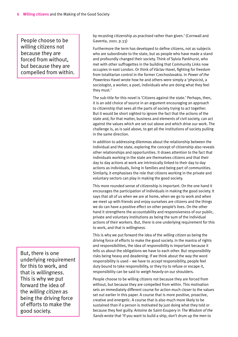People choose to be willing citizens not because they are forced from without, but because they are compelled from within.

But, there is one underlying requirement for this to work, and that is willingness. This is why we put forward the idea of the willing citizen as being the driving force of efforts to make the good society.

by recasting citizenship as practised rather than given.' (Cornwall and Gaventa, 2001. p.33)

Furthermore the term has developed to define citizens, not as subjects who are subordinate to the state, but as people who have made a stand and profoundly changed their society. Think of Sylvia Pankhurst, who met with other suffragettes in the building that Community Links now occupies in east London. Or think of Václav Havel, fighting for freedom from totalitarian control in the former Czechoslovakia. In Power of the Powerless Havel wrote how he and others were simply a 'physicist, a sociologist, a worker, a poet, individuals who are doing what they feel they must.'

The sub-title for this novel is 'Citizens against the state.' Perhaps, then, it is an odd choice of source in an argument encouraging an approach to citizenship that sees all the parts of society trying to act together. But it would be short sighted to ignore the fact that the actions of the state and, for that matter, business and elements of civil society, can act against the values which are set out above and which drive our work. The challenge is, as is said above, to get all the institutions of society pulling in the same direction.

In addition to addressing dilemmas about the relationship between the individual and the state, exploring the concept of citizenship also reveals other relationships and opportunities. It draws attention to the fact that individuals working in the state are themselves citizens and that their day to day actions at work are intrinsically linked to their day to day actions as individuals, living in families and being part of communities. Similarly, it emphasises the role that citizens working in the private and voluntary sectors can play in making the good society.

This more rounded sense of citizenship is important. On the one hand it encourages the participation of individuals in making the good society. It says that all of us when we are at home, when we go to work and when we meet up with friends and enjoy ourselves are citizens and the things we do can have a positive effect on other people's lives. On the other hand it strengthens the accountability and responsiveness of our public, private and voluntary institutions as being the sum of the individual actions of their workers. But, there is one underlying requirement for this to work, and that is willingness.

This is why we put forward the idea of the willing citizen as being the driving force of efforts to make the good society. In the mantra of rights and responsibilities, the idea of responsibility is important because it tells us about the obligations we have to each other. But responsibility risks being heavy and deadening. If we think about the way the word responsibility is used – we have to accept responsibility, people feel duty bound to take responsibility, or they try to refuse or escape it, responsibility can be said to weigh heavily on our shoulders.

People choose to be willing citizens not because they are forced from without, but because they are compelled from within. This motivation sets an immediately different course for action much closer to the values set out earlier in this paper. A course that is more positive, proactive, creative and energetic. A course that is also much more likely to be sustained than if a person is motivated by just doing what they told or because they feel guilty. Antoine de Saint-Exupery in The Wisdom of the Sands wrote that 'If you want to build a ship, don't drum up the men to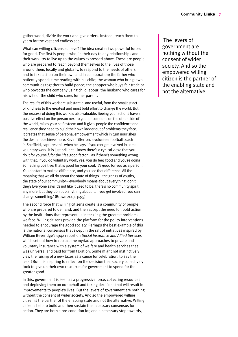gather wood, divide the work and give orders. Instead, teach them to yearn for the vast and endless sea.'

What can willing citizens achieve? The idea creates two powerful forces for good. The first is people who, in their day to day relationships and their work, try to live up to the values expressed above. These are people who are prepared to reach beyond themselves to the lives of those around them, locally and globally, to respond to the needs of others and to take action on their own and in collaboration; the father who patiently spends time reading with his child; the woman who brings two communities together to build peace; the shopper who buys fair-trade or who boycotts the company using child labour; the husband who cares for his wife or the child who cares for her parent.

The results of this work are substantial and useful, from the smallest act of kindness to the greatest and most bold effort to change the world. But the process of doing this work is also valuable. Seeing your actions have a positive effect on the person next to you, or someone on the other side of the world, raises your self esteem and it gives people the confidence and resilience they need to build their own ladder out of problems they face. It creates that sense of personal empowerment which in turn nourishes the desire to achieve more. Kevin Titterton, a volunteer football coach in Sheffield, captures this when he says 'If you can get involved in some voluntary work, it is just brilliant. I know there's a cynical view: that you do it for yourself, for the "feelgood factor", as if there's something wrong with that. If you do voluntary work, yes, you do feel good and you're doing something positive: that is good for your soul, it's good for you as a person. You do start to make a difference, and you see that difference. All the moaning that we all do about the state of things – the gangs of youths, the state of our community – everybody moans about everything, don't they? Everyone says it's not like it used to be, there's no community spirit any more, but they don't do anything about it. If you get involved, you can change something.' (Brown 2007. p.95)

The second force that willing citizens create is a community of people who are prepared to demand, and then accept the need for, bold action by the institutions that represent us in tackling the greatest problems we face. Willing citizens provide the platform for the policy interventions needed to encourage the good society. Perhaps the best example of this is the national consensus that swept in the raft of initiatives inspired by William Beveridge's 1942 report on Social Insurance and Allied Services which set out how to replace the myriad approaches to private and voluntary insurance with a system of welfare and health services that was universal and paid for from taxation. Some might not instinctively view the raising of a new taxes as a cause for celebration, to say the least! But it is inspiring to reflect on the decision that society collectively took to give up their own resources for government to spend for the greater good.

In this, government is seen as a progressive force, collecting resources and deploying them on our behalf and taking decisions that will result in improvements to people's lives. But the levers of government are nothing without the consent of wider society. And so the empowered willing citizen is the partner of the enabling state and not the alternative. Willing citizens help to build and then sustain the necessary consensus for action. They are both a pre-condition for, and a necessary step towards,

 The levers of government are nothing without the consent of wider society. And so the empowered willing citizen is the partner of the enabling state and not the alternative.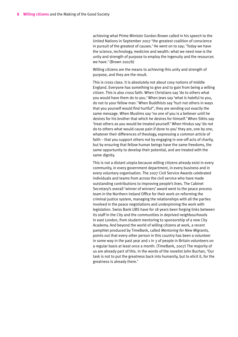achieving what Prime Minister Gordon Brown called in his speech to the United Nations in September 2007 'the greatest coalition of conscience in pursuit of the greatest of causes.' He went on to say; 'Today we have the science, technology, medicine and wealth: what we need now is the unity and strength of purpose to employ the ingenuity and the resources we have.' (Brown 2007b)

Willing citizens are the means to achieving this unity and strength of purpose, and they are the result.

This is cross class. It is absolutely not about cosy notions of middle England. Everyone has something to give and to gain from being a willing citizen. This is also cross faith. When Christians say 'do to others what you would have them do to you.' When Jews say 'what is hateful to you, do not to your fellow man.' When Buddhists say 'hurt not others in ways that you yourself would find hurtful", they are sending out exactly the same message. When Muslims say 'no one of you is a believer until he desires for his brother that which he desires for himself.' When Sikhs say 'treat others as you would be treated yourself.' When Hindus say 'do not do to others what would cause pain if done to you' they are, one by one, whatever their differences of theology, expressing a common article of faith – that you support others not by engaging in one-off acts of charity, but by ensuring that fellow human beings have the same freedoms, the same opportunity to develop their potential, and are treated with the same dignity.

This is not a distant utopia because willing citizens already exist in every community, in every government department, in every business and in every voluntary organisation. The 2007 Civil Service Awards celebrated individuals and teams from across the civil service who have made outstanding contributions to improving people's lives. The Cabinet Secretary's overall 'winner of winners' award went to the peace process team in the Northern Ireland Office for their work on reforming the criminal justice system, managing the relationships with all the parties involved in the peace negotiations and underpinning the work with legislation. Swiss Bank UBS have for 18 years been forging links between its staff in the City and the communities in deprived neighbourhoods in east London, from student mentoring to sponsorship of a new City Academy. And beyond the world of willing citizens at work, a recent pamphlet produced by TimeBank, called Mentoring for New Migrants, points out that every other person in this country has been a volunteer in some way in the past year and 1 in 3 of people in Britain volunteers on a regular basis at least once a month. (TimeBank, 2007) The majority of us are already part of this. In the words of the novelist John Buchan, 'Our task is not to put the greatness back into humanity, but to elicit it, for the greatness is already there.'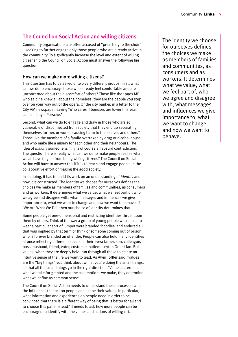## The Council on Social Action and willing citizens

Community organisations are often accused of "preaching to the choir" – seeking to further engage only those people who are already active in the community. To significantly increase the level and extent of willing citizenship the Council on Social Action must answer the following big question:

#### How can we make more willing citizens?

This question has to be asked of two very different groups. First, what can we do to encourage those who already feel comfortable and are unconcerned about the discomfort of others? Those like the 1990s MP who said he knew all about the homeless, they are the people you step over on your way out of the opera. Or the city banker, in a letter to the City AM newspaper, saying 'Who cares if bonuses are lower this year, I can still buy a Porsche.'

Second, what can we do to engage and draw in those who are so vulnerable or disconnected from society that they end up separating themselves further, or worse, causing harm to themselves and others? Those like the members of a family overtaken by drug or alcohol abuse and who make life a misery for each other and their neighbours. The idea of making someone willing is of course an absurd contradiction. The question here is really what can we do to make people realise what we all have to gain from being willing citizens? The Council on Social Action will have to answer this if it is to reach and engage people in the collaborative effort of making the good society.

In so doing, it has to build its work on an understanding of identity and how it is constructed. The identity we choose for ourselves defines the choices we make as members of families and communities, as consumers and as workers. It determines what we value, what we feel part of, who we agree and disagree with, what messages and influences we give importance to, what we want to change and how we want to behave. If 'We Are What We Do', then our choice of identity determines that.

Some people get one-dimensional and restricting identities thrust upon them by others. Think of the way a group of young people who chose to wear a particular sort of jumper were branded 'hoodies' and endured all that was implied by that term or think of someone coming out of prison who is forever branded an offender. People can also hold many identities at once reflecting different aspects of their lives: father, son, colleague, boss, husband, friend, voter, customer, patient, Leyton Orient fan. But values, when they are deeply held, run through all these to create an intuitive sense of the life we want to lead. As Alvin Toffler said, 'values are the "big things" you think about whilst you're doing the small things, so that all the small things go in the right direction.' Values determine what we take for granted and the assumptions we make, they determine what we define as common sense.

The Council on Social Action needs to understand these processes and the influences that act on people and shape their values. In particular, what information and experiences do people need in order to be convinced that there is a different way of being that is better for all and to choose this path instead? It needs to ask how more people can be encouraged to identify with the values and actions of willing citizens

The identity we choose for ourselves defines the choices we make as members of families and communities, as consumers and as workers. It determines what we value, what we feel part of, who we agree and disagree with, what messages and influences we give importance to, what we want to change and how we want to behave.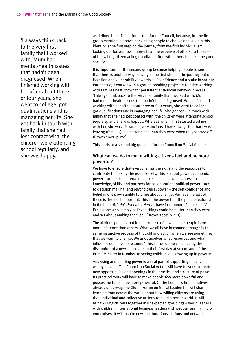'I always think back to the very first family that I worked with. Mum had mental-health issues that hadn't been diagnosed. When I finished working with her after about three or four years, she went to college, got qualifications and is managing her life. She got back in touch with family that she had lost contact with, the children were attending school regularly, and she was happy.'

as defined here. This is important for the Council, because, for the first group mentioned above, convincing people to choose and sustain this identity is the first step on the journey from me-first individualism, looking out for your own interests at the expense of others, to the idea of the willing citizen acting in collaboration with others to make the good society.

It is important for the second group because helping people to see that there is another way of living is the first step on the journey out of isolation and vulnerability towards self confidence and a stake in society. Pat Beattie, a worker with a ground breaking project in Dundee working with families best known for persistent anti-social behaviour recalls 'I always think back to the very first family that I worked with. Mum had mental-health issues that hadn't been diagnosed. When I finished working with her after about three or four years, she went to college, got qualifications and is managing her life. She got back in touch with family that she had lost contact with, the children were attending school regularly, and she was happy… Whereas when I first started working with her, she was distraught, very anxious. I have always felt that I was leaving (families) in a better place than they were when they started off.' (Brown 2007. p.170)

This leads to a second big question for the Council on Social Action:

#### What can we do to make willing citizens feel and be more powerful?

We have to ensure that everyone has the skills and the resources to contribute to making the good society. This is about power: economic power – access to material resources; social power – access to knowledge, skills, and partners for collaboration; political power – access to decision making; and psychological power – the self confidence and belief in one's own ability to bring about change. Perhaps the last of these is the most important. This is the power that the people featured in the book Britain's Everyday Heroes have in common. People like Vic Ecclestone who 'simply believed things could be better than they were and set about making them so.' (Brown 2007. p. 211)

The obvious point is that in the exercise of power some people have more influence than others. What we all have in common though is the same instinctive process of thought and action when we see something that we want to change. We ask ourselves what resources and what influence do I have to respond? This is true of the child seeing the discomfort of a new classmate on their first day at school and of the Prime Minister in Number 10 seeing children still growing up in poverty.

Analysing and building power is a vital part of supporting effective willing citizens. The Council on Social Action will have to work to create new opportunities and openings in the practice and structure of power. Its practical work will have to make people feel more powerful and posses the tools to be more powerful. Of the Council's first initiatives already underway, the Global Forum on Social Leadership will share learning from across the world about how willing citizens are using their individual and collective actions to build a better world. It will bring willing citizens together in unexpected groupings – world leaders with children, international business leaders with people running micro enterprises. It will inspire new collaborations, actions and networks.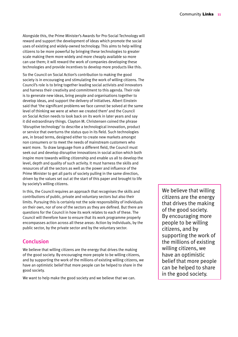Alongside this, the Prime Minister's Awards for Pro-Social Technology will reward and support the development of ideas which promote the social uses of existing and widely-owned technology. This aims to help willing citizens to be more powerful by bringing these technologies to greater scale making them more widely and more cheaply available so more can use them; it will reward the work of companies developing these technologies and provide incentives to develop more products like this.

So the Council on Social Action's contribution to making the good society is in encouraging and stimulating the work of willing citizens. The Council's role is to bring together leading social activists and innovators and harness their creativity and commitment to this agenda. Their role is to generate new ideas, bring people and organisations together to develop ideas, and support the delivery of initiatives. Albert Einstein said that 'the significant problems we face cannot be solved at the same level of thinking we were at when we created them' and the Council on Social Action needs to look back on its work in later years and say it did extraordinary things. Clayton M. Christensen coined the phrase 'disruptive technology' to describe a technological innovation, product or service that overturns the status quo in its field. Such technologies are, in broad terms, designed either to create new markets amongst non consumers or to meet the needs of mainstream customers who want more. To draw language from a different field, the Council must seek out and develop disruptive innovations in social action which both inspire more towards willing citizenship and enable us all to develop the level, depth and quality of such activity. It must harness the skills and resources of all the sectors as well as the power and influence of the Prime Minister to get all parts of society pulling in the same direction, driven by the values set out at the start of this paper and brought to life by society's willing citizens.

In this, the Council requires an approach that recognises the skills and contributions of public, private and voluntary sectors but also their limits. Pursuing this is certainly not the sole responsibility of individuals on their own, nor of one of the sectors as they are defined. But there are questions for the Council in how its work relates to each of these. The Council will therefore have to ensure that its work programme properly encompasses action across all these areas: Action by individuals, by the public sector, by the private sector and by the voluntary sector.

## Conclusion

We believe that willing citizens are the energy that drives the making of the good society. By encouraging more people to be willing citizens, and by supporting the work of the millions of existing willing citizens, we have an optimistic belief that more people can be helped to share in the good society.

We want to help make the good society and we believe that we can.

We believe that willing citizens are the energy that drives the making of the good society. By encouraging more people to be willing citizens, and by supporting the work of the millions of existing willing citizens, we have an optimistic belief that more people can be helped to share in the good society.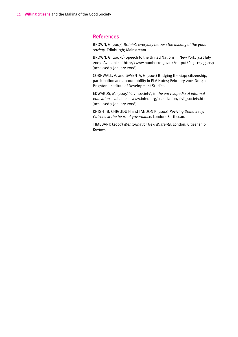#### **References**

BROWN, G (2007) Britain's everyday heroes: the making of the good society. Edinburgh; Mainstream.

BROWN, G (2007b) Speech to the United Nations in New York, 31st July 2007. Available at http://www.number10.gov.uk/output/Page12755.asp [accessed 7 January 2008]

CORNWALL, A. and GAVENTA, G (2001) Bridging the Gap; citizenship, participation and accountability in PLA Notes; February 2001 No. 40. Brighton: Institute of Development Studies.

EDWARDS, M. (2005) 'Civil society', in the encyclopedia of informal education, available at www.infed.org/association/civil\_society.htm. [accessed 7 January 2008]

KNIGHT B, CHIGUDU H and TANDON R (2002) Reviving Democracy; Citizens at the heart of governance. London: Earthscan.

TIMEBANK (2007) Mentoring for New Migrants. London: Citizenship Review.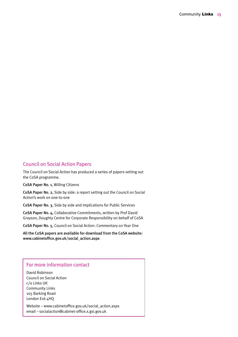### Council on Social Action Papers

The Council on Social Action has produced a series of papers setting out the CoSA programme.

CoSA Paper No. 1, Willing Citizens

CoSA Paper No. 2, Side by side: a report setting out the Council on Social Action's work on one-to-one

CoSA Paper No. 3, Side by side and Implications for Public Services

CoSA Paper No. 4, Collaborative Commitments, written by Prof David Grayson, Doughty Centre for Corporate Responsibility on behalf of CoSA

CoSA Paper No. 5, Council on Social Action: Commentary on Year One

All the CoSA papers are available for download from the CoSA website: www.cabinetoffice.gov.uk/social\_action.aspx

### For more information contact

David Robinson Council on Social Action c/o Links UK Community Links 105 Barking Road London E16 4HQ

Website – www.cabinetoffice.gov.uk/social\_action.aspx email – socialaction@cabinet-office.x.gsi.gov.uk